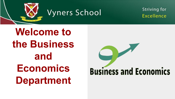

**Striving for** Excellence

**Welcome to the Business and Economics Department**

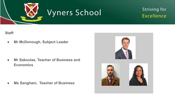

#### **Striving for Excellence**

**Staff:**

**● Mr McDonough, Subject Leader**

**● Mr Sakoulas, Teacher of Business and Economics**

**● Ms Sanghani, Teacher of Business**

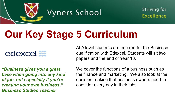

**Striving for** Excellence

### **Our Key Stage 5 Curriculum**

#### edexcel ...

At A level students are entered for the Business qualification with Edexcel. Students will sit two papers and the end of Year 13.

*"Business gives you a great base when going into any kind of job, but especially if you're creating your own business." Business Studies Teacher*

We cover the functions of a business such as the finance and marketing. We also look at the decision-making that business owners need to consider every day in their jobs.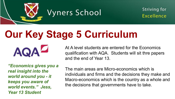

**Striving for** Excellence

## **Our Key Stage 5 Curriculum**

*"Economics gives you a real insight into the world around you - it keeps you aware of world events." Jess, Year 13 Student*

**AQAZ** 

At A level students are entered for the Economics qualification with AQA. Students will sit thre papers and the end of Year 13.

The main areas are Micro-economics which is individuals and firms and the decisions they make and Macro-economics which is the country as a whole and the decisions that governments have to take.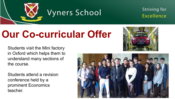

**Striving for** Excellence

### **Our Co-curricular Offer**

Students visit the Mini factory in Oxford which helps them to understand many sections of the course.

Students attend a revision conference held by a prominent Economics teacher.



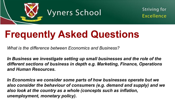

**Striving for** Excellence

### **Frequently Asked Questions**

*What is the difference between Economics and Business?*

*In Business we investigate setting up small businesses and the role of the different sections of business in depth e.g. Marketing, Finance, Operations and Human Resources.*

*In Economics we consider some parts of how businesses operate but we also consider the behaviour of consumers (e.g. demand and supply) and we also look at the country as a whole (concepts such as inflation, unemployment, monetary policy).*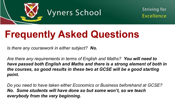

**Striving for** Excellence

### **Frequently Asked Questions**

*Is there any coursework in either subject? No.*

*Are there any requirements in terms of English and Maths? You will need to have passed both English and Maths and there is a strong element of both in the courses, so good results in these two at GCSE will be a good starting point.*

*Do you need to have taken either Economics or Business beforehand at GCSE? No. Some students will have done so but some won't, so we teach everybody from the very beginning.*